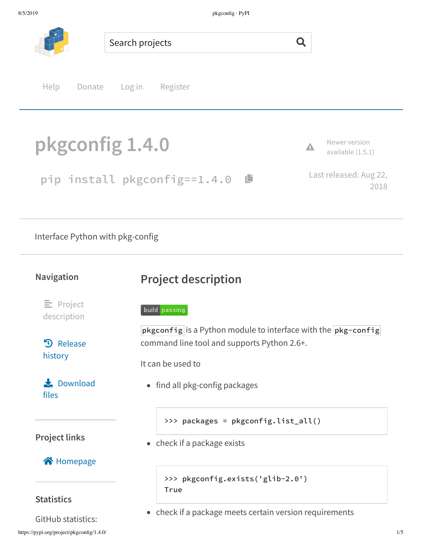

Interface Python with pkg-config

#### **Navigation**

# **Project description**

 $E$  Project description

**3** Release history

 $\frac{1}{\sqrt{2}}$  Download files

### **Project links**

### **合** Homepage

#### **Statistics**

GitHub statistics:

#### build passing

pkgconfig is a Python module to interface with the  $[pkg\text{-}config]$ command line tool and supports Python 2.6+.

It can be used to

• find all pkg-config packages

>>> packages = pkgconfig.list\_all()

• check if a package exists

```
>>> pkgconfig.exists('glib-2.0')
True
```
• check if a package meets certain version requirements

2018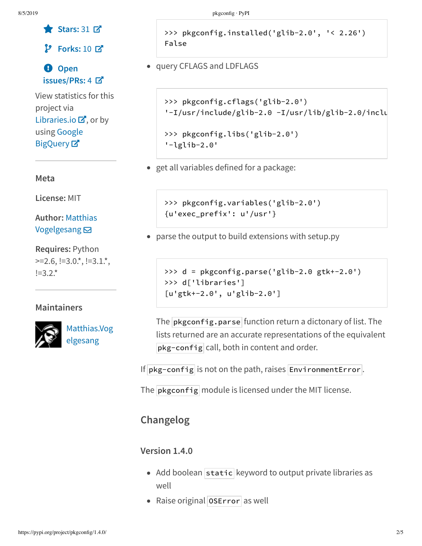```
ɕ Stars: 31
æ
```
**Forks:** 10 æ

### á **Open issues/PRs:** 4 æ

View statistics for this project via Libraries.io  $\mathbf{Z}$ , or by using Google **BigQuery**<sub>¤</sub>

#### **Meta**

**License:** MIT

**Author:** Matthias Vogelgesang **⊠** 

**Requires:** Python  $>=$ 2.6,  $!=$ 3.0 $\cdot$ \*,  $!=$ 3.1 $\cdot$ \*,  $!=3.2.*$ 

### **Maintainers**



Matthias.Vog elgesang

>>> pkgconfig.installed('glib-2.0', '< 2.26') False

query CFLAGS and LDFLAGS

'-lglib-2.0'

```
>>> pkgconfig.cflags('glib-2.0')
'-I/usr/include/glib-2.0 -I/usr/lib/glib-2.0/inclu
>>> pkgconfig.libs('glib-2.0')
```
• get all variables defined for a package:

>>> pkgconfig.variables('glib-2.0') {u'exec\_prefix': u'/usr'}

parse the output to build extensions with setup.py

```
>>> d = pkgconfig.parse('glib-2.0 gtk+-2.0')
>>> d['libraries']
[u'gtk+-2.0', u'glib-2.0']
```
The  $\mathsf{pkgconfig.parse}$  function return a dictonary of list. The lists returned are an accurate representations of the equivalent pkg-config call, both in content and order.

If  $\mathsf{pkg}$ -config is not on the path, raises EnvironmentError.

The  $\mathsf{pkgconfig}$  module is licensed under the MIT license.

## **Changelog**

### **Version 1.4.0**

- Add boolean static keyword to output private libraries as well
- Raise original **OSError** as well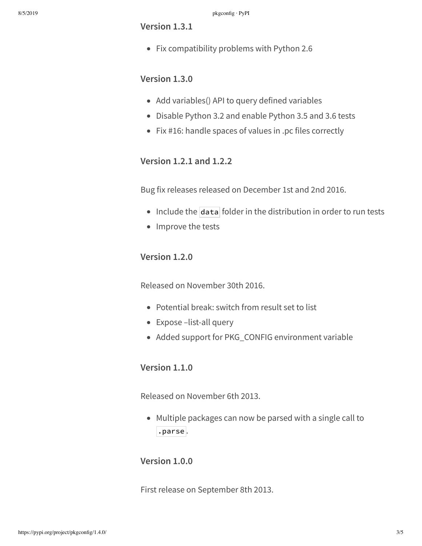#### **Version 1.3.1**

• Fix compatibility problems with Python 2.6

#### **Version 1.3.0**

- Add variables() API to query defined variables
- Disable Python 3.2 and enable Python 3.5 and 3.6 tests
- Fix #16: handle spaces of values in .pc files correctly

#### **Version 1.2.1 and 1.2.2**

Bug fix releases released on December 1st and 2nd 2016.

- $\bullet$  Include the data folder in the distribution in order to run tests
- Improve the tests

#### **Version 1.2.0**

Released on November 30th 2016.

- Potential break: switch from result set to list
- Expose –list-all query
- Added support for PKG\_CONFIG environment variable

#### **Version 1.1.0**

Released on November 6th 2013.

Multiple packages can now be parsed with a single call to .parse .

#### **Version 1.0.0**

First release on September 8th 2013.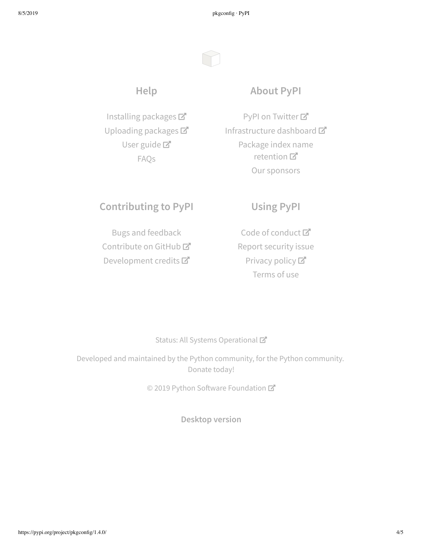8/5/2019 pkgconfig · PyPI

## **Help**

Installing packages Uploading packages User guide<sup>T</sup> FAQs

### **About PyPI**

PyPI on Twitter<sup>7</sup> Infrastructure dashboard Package index name retention 口 Our sponsors

## **Contributing to PyPI**

Bugs and feedback Contribute on GitHub<sup>C</sup> Development credits

## **Using PyPI**

Code of conduct<sup>™</sup> Report security issue Privacy policy Terms of use

#### Status: All Systems Operational

Developed and maintained by the Python community, for the Python community. Donate today!

© 2019 Python Software Foundation

**Desktop version**